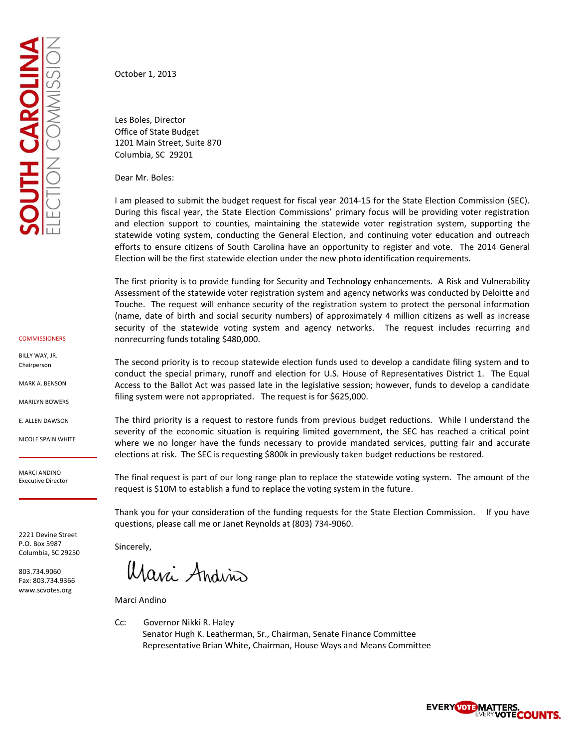October 1, 2013

Les Boles, Director Office of State Budget 1201 Main Street, Suite 870 Columbia, SC 29201

Dear Mr. Boles:

I am pleased to submit the budget request for fiscal year 2014-15 for the State Election Commission (SEC). During this fiscal year, the State Election Commissions' primary focus will be providing voter registration and election support to counties, maintaining the statewide voter registration system, supporting the statewide voting system, conducting the General Election, and continuing voter education and outreach efforts to ensure citizens of South Carolina have an opportunity to register and vote. The 2014 General Election will be the first statewide election under the new photo identification requirements.

The first priority is to provide funding for Security and Technology enhancements. A Risk and Vulnerability Assessment of the statewide voter registration system and agency networks was conducted by Deloitte and Touche. The request will enhance security of the registration system to protect the personal information (name, date of birth and social security numbers) of approximately 4 million citizens as well as increase security of the statewide voting system and agency networks. The request includes recurring and nonrecurring funds totaling \$480,000.

The second priority is to recoup statewide election funds used to develop a candidate filing system and to conduct the special primary, runoff and election for U.S. House of Representatives District 1. The Equal Access to the Ballot Act was passed late in the legislative session; however, funds to develop a candidate filing system were not appropriated. The request is for \$625,000.

The third priority is a request to restore funds from previous budget reductions. While I understand the severity of the economic situation is requiring limited government, the SEC has reached a critical point where we no longer have the funds necessary to provide mandated services, putting fair and accurate elections at risk. The SEC is requesting \$800k in previously taken budget reductions be restored.

The final request is part of our long range plan to replace the statewide voting system. The amount of the request is \$10M to establish a fund to replace the voting system in the future.

Thank you for your consideration of the funding requests for the State Election Commission. If you have questions, please call me or Janet Reynolds at (803) 734-9060.

Sincerely,

Marci Andino

Marci Andino

Cc: Governor Nikki R. Haley Senator Hugh K. Leatherman, Sr., Chairman, Senate Finance Committee Representative Brian White, Chairman, House Ways and Means Committee



BILLY WAY, JR. Chairperson

MARK A. BENSON

MARILYN BOWERS

E. ALLEN DAWSON

NICOLE SPAIN WHITE

MARCI ANDINO Executive Director

2221 Devine Street P.O. Box 5987 Columbia, SC 29250

803.734.9060 Fax: 803.734.9366 www.scvotes.org

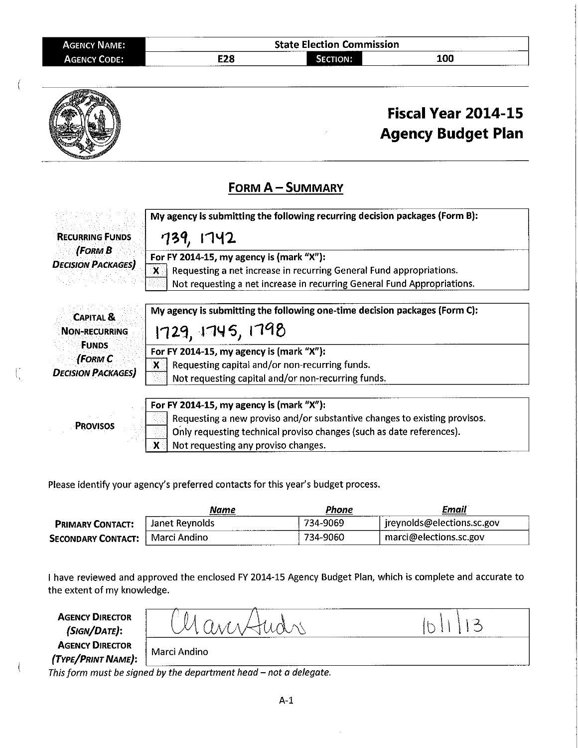| AGENCY NAME:        |     | <b>State Election Commission</b> |     |
|---------------------|-----|----------------------------------|-----|
| <b>AGENCY CODE:</b> | E28 | SECTION:                         | 100 |



Please identify your agency's preferred contacts for this year's budget process.

 $\mathfrak{l}'$ 

|                           | Name            | Phone                     | Email                      |
|---------------------------|-----------------|---------------------------|----------------------------|
| <b>PRIMARY CONTACT:</b>   | Janet Revnolds  | 734-9069                  | jreynolds@elections.sc.gov |
| <b>SECONDARY CONTACT:</b> | ∣ Marci Andino∣ | 734-9060<br>------------- | marci@elections.sc.gov     |

I have reviewed and approved the enclosed FY 2014-15 Agency Budget Plan, which is complete and accurate to the extent of my knowledge.

| <b>AGENCY DIRECTOR</b><br>(SIGN/DATE):       |              |  |
|----------------------------------------------|--------------|--|
| <b>AGENCY DIRECTOR</b><br>(TYPE/PRINT NAME): | Marci Andino |  |

This form must be signed by the department head  $-$  not a delegate.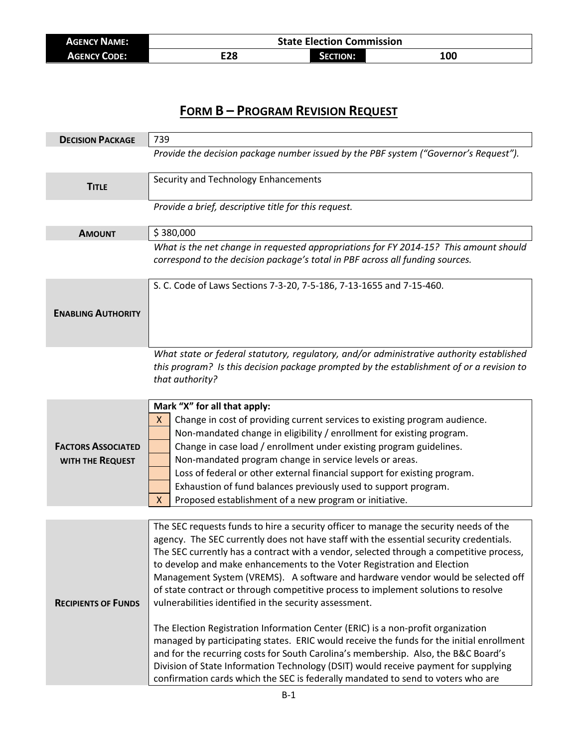| <b>AGENCY NAME:</b> | <b>State Election Commission</b> |                       |     |
|---------------------|----------------------------------|-----------------------|-----|
| <b>AGENCY CODE:</b> | E28                              | <b>ECTION:</b><br>ידנ | 100 |

# **FORM B – PROGRAM REVISION REQUEST**

| <b>DECISION PACKAGE</b>                       | 739                                                                                                                                                                                                                                                                                                                                                                                                                                                                                                                                                                                                                                                                                                                                                                                                                                                                                                                                                                                                                                       |  |  |
|-----------------------------------------------|-------------------------------------------------------------------------------------------------------------------------------------------------------------------------------------------------------------------------------------------------------------------------------------------------------------------------------------------------------------------------------------------------------------------------------------------------------------------------------------------------------------------------------------------------------------------------------------------------------------------------------------------------------------------------------------------------------------------------------------------------------------------------------------------------------------------------------------------------------------------------------------------------------------------------------------------------------------------------------------------------------------------------------------------|--|--|
|                                               | Provide the decision package number issued by the PBF system ("Governor's Request").                                                                                                                                                                                                                                                                                                                                                                                                                                                                                                                                                                                                                                                                                                                                                                                                                                                                                                                                                      |  |  |
| <b>TITLE</b>                                  | Security and Technology Enhancements                                                                                                                                                                                                                                                                                                                                                                                                                                                                                                                                                                                                                                                                                                                                                                                                                                                                                                                                                                                                      |  |  |
|                                               | Provide a brief, descriptive title for this request.                                                                                                                                                                                                                                                                                                                                                                                                                                                                                                                                                                                                                                                                                                                                                                                                                                                                                                                                                                                      |  |  |
| <b>AMOUNT</b>                                 | \$380,000                                                                                                                                                                                                                                                                                                                                                                                                                                                                                                                                                                                                                                                                                                                                                                                                                                                                                                                                                                                                                                 |  |  |
|                                               | What is the net change in requested appropriations for FY 2014-15? This amount should<br>correspond to the decision package's total in PBF across all funding sources.                                                                                                                                                                                                                                                                                                                                                                                                                                                                                                                                                                                                                                                                                                                                                                                                                                                                    |  |  |
|                                               | S. C. Code of Laws Sections 7-3-20, 7-5-186, 7-13-1655 and 7-15-460.                                                                                                                                                                                                                                                                                                                                                                                                                                                                                                                                                                                                                                                                                                                                                                                                                                                                                                                                                                      |  |  |
| <b>ENABLING AUTHORITY</b>                     |                                                                                                                                                                                                                                                                                                                                                                                                                                                                                                                                                                                                                                                                                                                                                                                                                                                                                                                                                                                                                                           |  |  |
|                                               | What state or federal statutory, regulatory, and/or administrative authority established<br>this program? Is this decision package prompted by the establishment of or a revision to<br>that authority?                                                                                                                                                                                                                                                                                                                                                                                                                                                                                                                                                                                                                                                                                                                                                                                                                                   |  |  |
| <b>FACTORS ASSOCIATED</b><br>WITH THE REQUEST | Mark "X" for all that apply:<br>Change in cost of providing current services to existing program audience.<br>X<br>Non-mandated change in eligibility / enrollment for existing program.<br>Change in case load / enrollment under existing program guidelines.<br>Non-mandated program change in service levels or areas.<br>Loss of federal or other external financial support for existing program.<br>Exhaustion of fund balances previously used to support program.<br>Proposed establishment of a new program or initiative.<br>x                                                                                                                                                                                                                                                                                                                                                                                                                                                                                                 |  |  |
|                                               |                                                                                                                                                                                                                                                                                                                                                                                                                                                                                                                                                                                                                                                                                                                                                                                                                                                                                                                                                                                                                                           |  |  |
| <b>RECIPIENTS OF FUNDS</b>                    | The SEC requests funds to hire a security officer to manage the security needs of the<br>agency. The SEC currently does not have staff with the essential security credentials.<br>The SEC currently has a contract with a vendor, selected through a competitive process,<br>to develop and make enhancements to the Voter Registration and Election<br>Management System (VREMS). A software and hardware vendor would be selected off<br>of state contract or through competitive process to implement solutions to resolve<br>vulnerabilities identified in the security assessment.<br>The Election Registration Information Center (ERIC) is a non-profit organization<br>managed by participating states. ERIC would receive the funds for the initial enrollment<br>and for the recurring costs for South Carolina's membership. Also, the B&C Board's<br>Division of State Information Technology (DSIT) would receive payment for supplying<br>confirmation cards which the SEC is federally mandated to send to voters who are |  |  |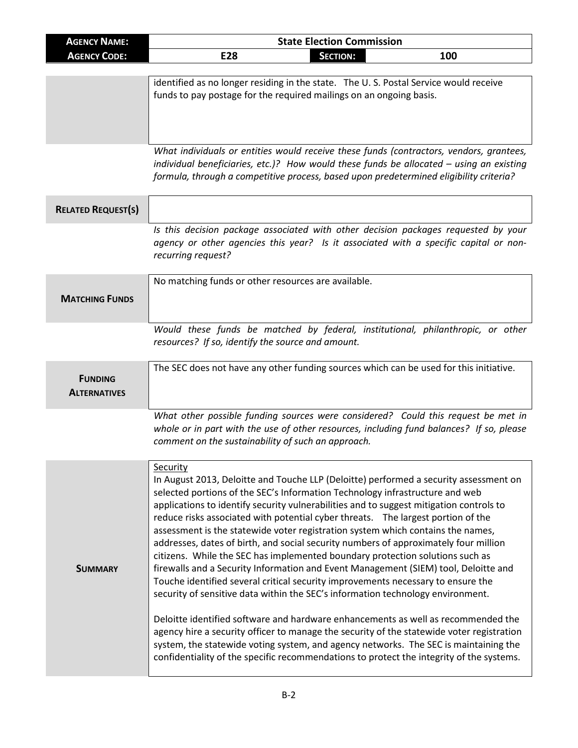| <b>AGENCY NAME:</b>       | <b>State Election Commission</b>                                                                                                                                              |  |  |
|---------------------------|-------------------------------------------------------------------------------------------------------------------------------------------------------------------------------|--|--|
| <b>AGENCY CODE:</b>       | <b>SECTION:</b><br>E28<br>100                                                                                                                                                 |  |  |
|                           |                                                                                                                                                                               |  |  |
|                           | identified as no longer residing in the state. The U.S. Postal Service would receive                                                                                          |  |  |
|                           | funds to pay postage for the required mailings on an ongoing basis.                                                                                                           |  |  |
|                           |                                                                                                                                                                               |  |  |
|                           |                                                                                                                                                                               |  |  |
|                           | What individuals or entities would receive these funds (contractors, vendors, grantees,                                                                                       |  |  |
|                           | individual beneficiaries, etc.)? How would these funds be allocated $-$ using an existing                                                                                     |  |  |
|                           | formula, through a competitive process, based upon predetermined eligibility criteria?                                                                                        |  |  |
|                           |                                                                                                                                                                               |  |  |
| <b>RELATED REQUEST(S)</b> |                                                                                                                                                                               |  |  |
|                           | Is this decision package associated with other decision packages requested by your                                                                                            |  |  |
|                           | agency or other agencies this year? Is it associated with a specific capital or non-                                                                                          |  |  |
|                           | recurring request?                                                                                                                                                            |  |  |
|                           | No matching funds or other resources are available.                                                                                                                           |  |  |
|                           |                                                                                                                                                                               |  |  |
| <b>MATCHING FUNDS</b>     |                                                                                                                                                                               |  |  |
|                           |                                                                                                                                                                               |  |  |
|                           | Would these funds be matched by federal, institutional, philanthropic, or other                                                                                               |  |  |
|                           | resources? If so, identify the source and amount.                                                                                                                             |  |  |
|                           | The SEC does not have any other funding sources which can be used for this initiative.                                                                                        |  |  |
| <b>FUNDING</b>            |                                                                                                                                                                               |  |  |
| <b>ALTERNATIVES</b>       |                                                                                                                                                                               |  |  |
|                           |                                                                                                                                                                               |  |  |
|                           | What other possible funding sources were considered? Could this request be met in<br>whole or in part with the use of other resources, including fund balances? If so, please |  |  |
|                           | comment on the sustainability of such an approach.                                                                                                                            |  |  |
|                           |                                                                                                                                                                               |  |  |
|                           | Security                                                                                                                                                                      |  |  |
|                           | In August 2013, Deloitte and Touche LLP (Deloitte) performed a security assessment on                                                                                         |  |  |
|                           | selected portions of the SEC's Information Technology infrastructure and web                                                                                                  |  |  |
|                           | applications to identify security vulnerabilities and to suggest mitigation controls to<br>reduce risks associated with potential cyber threats.  The largest portion of the  |  |  |
|                           | assessment is the statewide voter registration system which contains the names,                                                                                               |  |  |
|                           | addresses, dates of birth, and social security numbers of approximately four million                                                                                          |  |  |
|                           | citizens. While the SEC has implemented boundary protection solutions such as                                                                                                 |  |  |
| <b>SUMMARY</b>            | firewalls and a Security Information and Event Management (SIEM) tool, Deloitte and                                                                                           |  |  |
|                           | Touche identified several critical security improvements necessary to ensure the                                                                                              |  |  |
|                           | security of sensitive data within the SEC's information technology environment.                                                                                               |  |  |
|                           | Deloitte identified software and hardware enhancements as well as recommended the                                                                                             |  |  |
|                           | agency hire a security officer to manage the security of the statewide voter registration                                                                                     |  |  |
|                           | system, the statewide voting system, and agency networks. The SEC is maintaining the                                                                                          |  |  |
|                           | confidentiality of the specific recommendations to protect the integrity of the systems.                                                                                      |  |  |
|                           |                                                                                                                                                                               |  |  |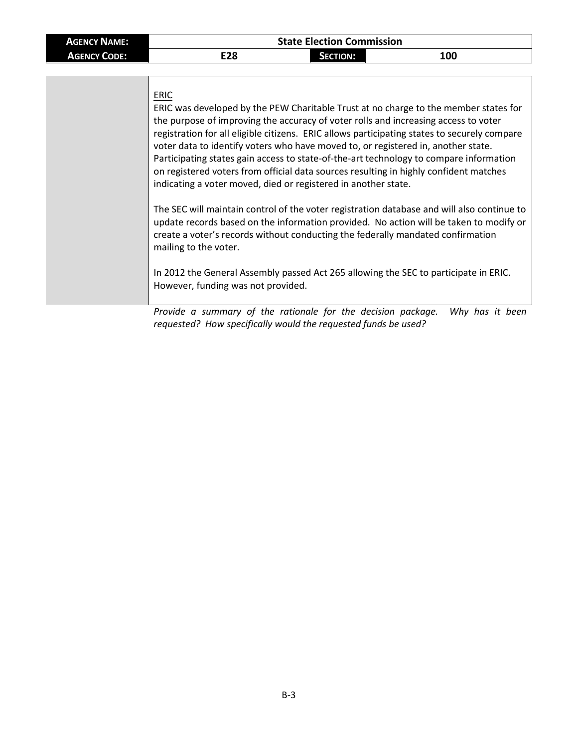### **ERIC**

| ERIC was developed by the PEW Charitable Trust at no charge to the member states for         |
|----------------------------------------------------------------------------------------------|
|                                                                                              |
| registration for all eligible citizens. ERIC allows participating states to securely compare |
|                                                                                              |
| Participating states gain access to state-of-the-art technology to compare information       |
| on registered voters from official data sources resulting in highly confident matches        |
|                                                                                              |
|                                                                                              |

The SEC will maintain control of the voter registration database and will also continue to update records based on the information provided. No action will be taken to modify or create a voter's records without conducting the federally mandated confirmation mailing to the voter.

In 2012 the General Assembly passed Act 265 allowing the SEC to participate in ERIC. However, funding was not provided.

*Provide a summary of the rationale for the decision package. Why has it been requested? How specifically would the requested funds be used?*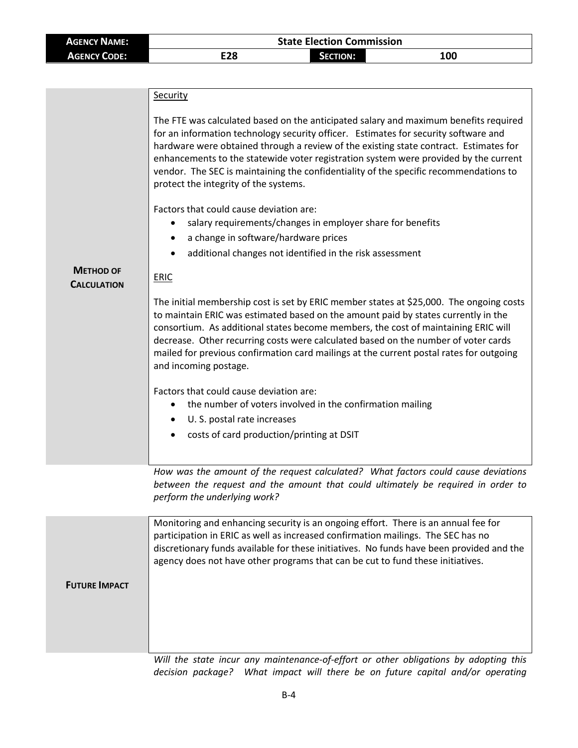| <b>AGENCY NAME:</b> | <b>State Election Commission</b> |          |            |
|---------------------|----------------------------------|----------|------------|
| <b>AGENCY CODE:</b> | E28                              | SECTION: | <b>100</b> |

|                                        | Security                                                                                                                                                                                                                                                                                                                                                                                                                                                                                       |  |  |
|----------------------------------------|------------------------------------------------------------------------------------------------------------------------------------------------------------------------------------------------------------------------------------------------------------------------------------------------------------------------------------------------------------------------------------------------------------------------------------------------------------------------------------------------|--|--|
|                                        | The FTE was calculated based on the anticipated salary and maximum benefits required<br>for an information technology security officer. Estimates for security software and<br>hardware were obtained through a review of the existing state contract. Estimates for<br>enhancements to the statewide voter registration system were provided by the current<br>vendor. The SEC is maintaining the confidentiality of the specific recommendations to<br>protect the integrity of the systems. |  |  |
|                                        | Factors that could cause deviation are:                                                                                                                                                                                                                                                                                                                                                                                                                                                        |  |  |
|                                        | salary requirements/changes in employer share for benefits                                                                                                                                                                                                                                                                                                                                                                                                                                     |  |  |
|                                        | a change in software/hardware prices<br>٠                                                                                                                                                                                                                                                                                                                                                                                                                                                      |  |  |
|                                        | additional changes not identified in the risk assessment                                                                                                                                                                                                                                                                                                                                                                                                                                       |  |  |
| <b>METHOD OF</b><br><b>CALCULATION</b> | <b>ERIC</b>                                                                                                                                                                                                                                                                                                                                                                                                                                                                                    |  |  |
|                                        | The initial membership cost is set by ERIC member states at \$25,000. The ongoing costs<br>to maintain ERIC was estimated based on the amount paid by states currently in the<br>consortium. As additional states become members, the cost of maintaining ERIC will<br>decrease. Other recurring costs were calculated based on the number of voter cards<br>mailed for previous confirmation card mailings at the current postal rates for outgoing<br>and incoming postage.                  |  |  |
|                                        | Factors that could cause deviation are:                                                                                                                                                                                                                                                                                                                                                                                                                                                        |  |  |
|                                        | the number of voters involved in the confirmation mailing                                                                                                                                                                                                                                                                                                                                                                                                                                      |  |  |
|                                        | U. S. postal rate increases                                                                                                                                                                                                                                                                                                                                                                                                                                                                    |  |  |
|                                        | costs of card production/printing at DSIT                                                                                                                                                                                                                                                                                                                                                                                                                                                      |  |  |
|                                        |                                                                                                                                                                                                                                                                                                                                                                                                                                                                                                |  |  |
|                                        | How was the amount of the request calculated? What factors could cause deviations<br>between the request and the amount that could ultimately be required in order to                                                                                                                                                                                                                                                                                                                          |  |  |

*between the request and the amount that could ultimately be required in order to perform the underlying work?*

|                      | Monitoring and enhancing security is an ongoing effort. There is an annual fee for<br>participation in ERIC as well as increased confirmation mailings. The SEC has no<br>discretionary funds available for these initiatives. No funds have been provided and the<br>agency does not have other programs that can be cut to fund these initiatives. |
|----------------------|------------------------------------------------------------------------------------------------------------------------------------------------------------------------------------------------------------------------------------------------------------------------------------------------------------------------------------------------------|
| <b>FUTURE IMPACT</b> |                                                                                                                                                                                                                                                                                                                                                      |
|                      |                                                                                                                                                                                                                                                                                                                                                      |
|                      |                                                                                                                                                                                                                                                                                                                                                      |
|                      |                                                                                                                                                                                                                                                                                                                                                      |
|                      |                                                                                                                                                                                                                                                                                                                                                      |

Will the state incur any maintenance-of-effort or other obligations by adopting this *decision package? What impact will there be on future capital and/or operating*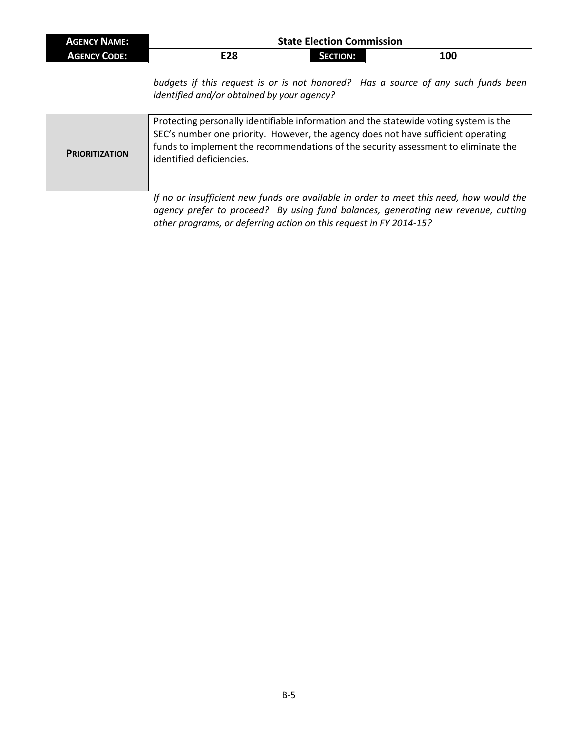| <b>AGENCY NAME:</b> | <b>State Election Commission</b> |                 |     |
|---------------------|----------------------------------|-----------------|-----|
| <b>AGENCY CODE:</b> | E28                              | <b>SECTION:</b> | 100 |

*budgets if this request is or is not honored? Has a source of any such funds been identified and/or obtained by your agency?*

| Protecting personally identifiable information and the statewide voting system is the<br>SEC's number one priority. However, the agency does not have sufficient operating<br>funds to implement the recommendations of the security assessment to eliminate the<br><b>PRIORITIZATION</b><br>identified deficiencies. |  |
|-----------------------------------------------------------------------------------------------------------------------------------------------------------------------------------------------------------------------------------------------------------------------------------------------------------------------|--|
|-----------------------------------------------------------------------------------------------------------------------------------------------------------------------------------------------------------------------------------------------------------------------------------------------------------------------|--|

*If no or insufficient new funds are available in order to meet this need, how would the agency prefer to proceed? By using fund balances, generating new revenue, cutting other programs, or deferring action on this request in FY 2014-15?*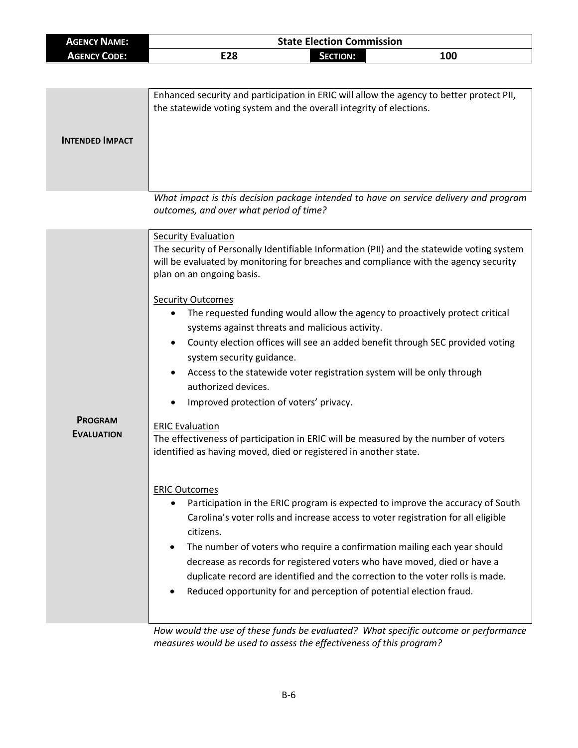| <b>AGENCY NAME:</b> | <b>State Election Commission</b> |                 |     |
|---------------------|----------------------------------|-----------------|-----|
| <b>AGENCY CODE:</b> | E28                              | <b>SECTION:</b> | 100 |

| <b>INTENDED IMPACT</b> | Enhanced security and participation in ERIC will allow the agency to better protect PII,<br>the statewide voting system and the overall integrity of elections. |
|------------------------|-----------------------------------------------------------------------------------------------------------------------------------------------------------------|
|                        | What impact is this decision package intended to have on service delivery and program                                                                           |

|                                     | outcomes, and over what period of time?                                                                                                                                                                                                                                                                                                                                                                                                                                                                                                                                                                                                                                                                                                                                                                                                                                                                                                                                                                                                                                                                                                 |
|-------------------------------------|-----------------------------------------------------------------------------------------------------------------------------------------------------------------------------------------------------------------------------------------------------------------------------------------------------------------------------------------------------------------------------------------------------------------------------------------------------------------------------------------------------------------------------------------------------------------------------------------------------------------------------------------------------------------------------------------------------------------------------------------------------------------------------------------------------------------------------------------------------------------------------------------------------------------------------------------------------------------------------------------------------------------------------------------------------------------------------------------------------------------------------------------|
|                                     | <b>Security Evaluation</b><br>The security of Personally Identifiable Information (PII) and the statewide voting system<br>will be evaluated by monitoring for breaches and compliance with the agency security<br>plan on an ongoing basis.                                                                                                                                                                                                                                                                                                                                                                                                                                                                                                                                                                                                                                                                                                                                                                                                                                                                                            |
| <b>PROGRAM</b><br><b>EVALUATION</b> | <b>Security Outcomes</b><br>The requested funding would allow the agency to proactively protect critical<br>systems against threats and malicious activity.<br>County election offices will see an added benefit through SEC provided voting<br>system security guidance.<br>Access to the statewide voter registration system will be only through<br>authorized devices.<br>Improved protection of voters' privacy.<br><b>ERIC Evaluation</b><br>The effectiveness of participation in ERIC will be measured by the number of voters<br>identified as having moved, died or registered in another state.<br><b>ERIC Outcomes</b><br>Participation in the ERIC program is expected to improve the accuracy of South<br>Carolina's voter rolls and increase access to voter registration for all eligible<br>citizens.<br>The number of voters who require a confirmation mailing each year should<br>decrease as records for registered voters who have moved, died or have a<br>duplicate record are identified and the correction to the voter rolls is made.<br>Reduced opportunity for and perception of potential election fraud. |
|                                     | How would the use of these funds he evaluated? What specific outcome or performance                                                                                                                                                                                                                                                                                                                                                                                                                                                                                                                                                                                                                                                                                                                                                                                                                                                                                                                                                                                                                                                     |

*How would the use of these funds be evaluated? What specific outcome or performance measures would be used to assess the effectiveness of this program?*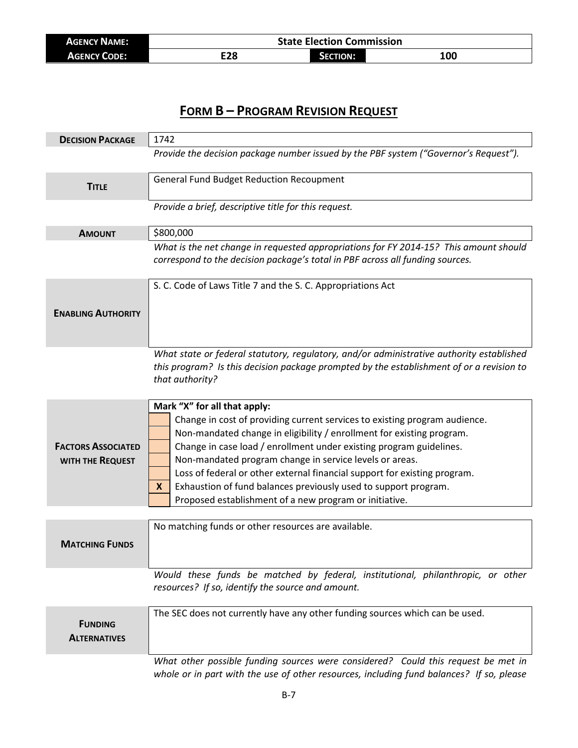| <b>AGENCY NAME:</b> | <b>State Election Commission</b> |                 |     |
|---------------------|----------------------------------|-----------------|-----|
| <b>AGENCY CODE:</b> | E28                              | <b>SECTION:</b> | 100 |

## **FORM B – PROGRAM REVISION REQUEST**

| <b>DECISION PACKAGE</b>               | 1742                                                                                                                                                                          |
|---------------------------------------|-------------------------------------------------------------------------------------------------------------------------------------------------------------------------------|
|                                       | Provide the decision package number issued by the PBF system ("Governor's Request").                                                                                          |
| <b>TITLE</b>                          | <b>General Fund Budget Reduction Recoupment</b>                                                                                                                               |
|                                       | Provide a brief, descriptive title for this request.                                                                                                                          |
| <b>AMOUNT</b>                         | \$800,000                                                                                                                                                                     |
|                                       | What is the net change in requested appropriations for FY 2014-15? This amount should<br>correspond to the decision package's total in PBF across all funding sources.        |
|                                       | S. C. Code of Laws Title 7 and the S. C. Appropriations Act                                                                                                                   |
| <b>ENABLING AUTHORITY</b>             |                                                                                                                                                                               |
|                                       |                                                                                                                                                                               |
|                                       | What state or federal statutory, regulatory, and/or administrative authority established                                                                                      |
|                                       | this program? Is this decision package prompted by the establishment of or a revision to<br>that authority?                                                                   |
|                                       | Mark "X" for all that apply:                                                                                                                                                  |
|                                       | Change in cost of providing current services to existing program audience.                                                                                                    |
|                                       | Non-mandated change in eligibility / enrollment for existing program.                                                                                                         |
| <b>FACTORS ASSOCIATED</b>             | Change in case load / enrollment under existing program guidelines.                                                                                                           |
| WITH THE REQUEST                      | Non-mandated program change in service levels or areas.<br>Loss of federal or other external financial support for existing program.                                          |
|                                       | Exhaustion of fund balances previously used to support program.<br>X.                                                                                                         |
|                                       | Proposed establishment of a new program or initiative.                                                                                                                        |
|                                       |                                                                                                                                                                               |
| <b>MATCHING FUNDS</b>                 | No matching funds or other resources are available.                                                                                                                           |
|                                       | Would these funds be matched by federal, institutional, philanthropic, or other                                                                                               |
|                                       | resources? If so, identify the source and amount.                                                                                                                             |
| <b>FUNDING</b><br><b>ALTERNATIVES</b> | The SEC does not currently have any other funding sources which can be used.                                                                                                  |
|                                       | What other possible funding sources were considered? Could this request be met in<br>whole or in part with the use of other resources, including fund balances? If so, please |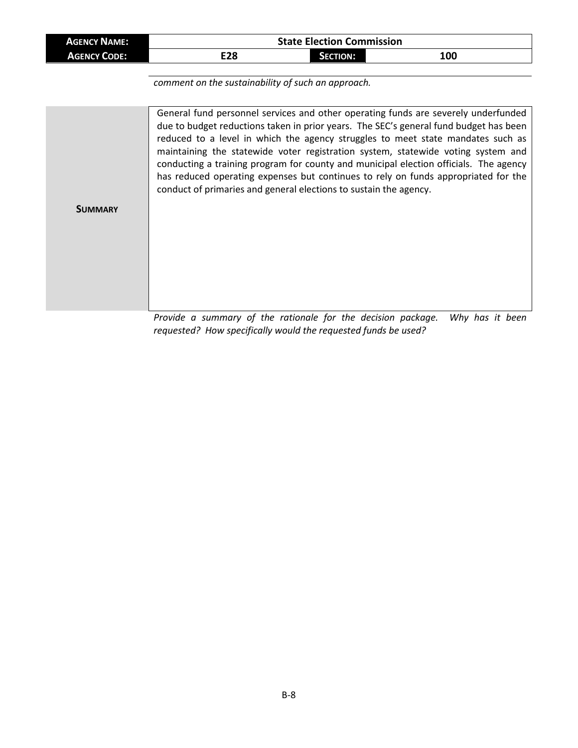| <b>AGENCY NAME:</b> | <b>State Election Commission</b> |                 |     |  |
|---------------------|----------------------------------|-----------------|-----|--|
| <b>AGENCY CODE:</b> | E28                              | <b>SECTION:</b> | 100 |  |

*comment on the sustainability of such an approach.*

|                | General fund personnel services and other operating funds are severely underfunded<br>due to budget reductions taken in prior years. The SEC's general fund budget has been<br>reduced to a level in which the agency struggles to meet state mandates such as                                                                       |
|----------------|--------------------------------------------------------------------------------------------------------------------------------------------------------------------------------------------------------------------------------------------------------------------------------------------------------------------------------------|
|                | maintaining the statewide voter registration system, statewide voting system and<br>conducting a training program for county and municipal election officials. The agency<br>has reduced operating expenses but continues to rely on funds appropriated for the<br>conduct of primaries and general elections to sustain the agency. |
| <b>SUMMARY</b> |                                                                                                                                                                                                                                                                                                                                      |
|                |                                                                                                                                                                                                                                                                                                                                      |
|                |                                                                                                                                                                                                                                                                                                                                      |

*Provide a summary of the rationale for the decision package. Why has it been requested? How specifically would the requested funds be used?*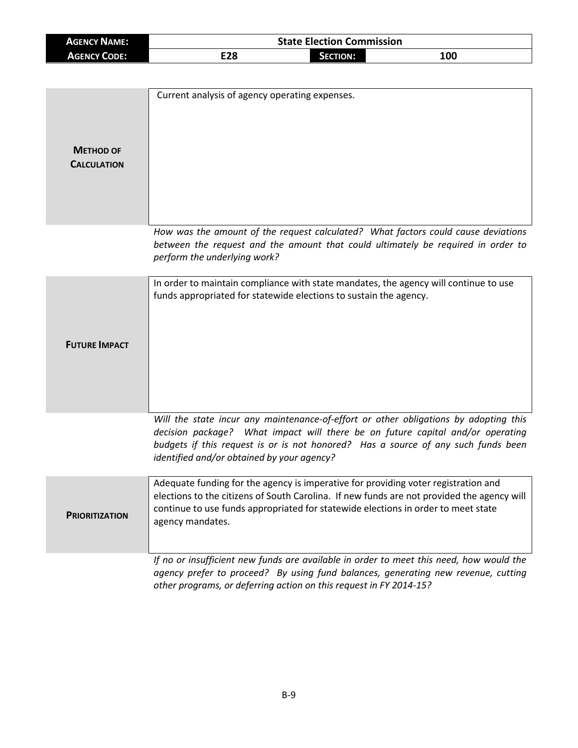| <b>AGENCY NAME:</b> | <b>State Election Commission</b> |                 |            |  |
|---------------------|----------------------------------|-----------------|------------|--|
| <b>AGENCY CODE:</b> | E28                              | <b>SECTION:</b> | <b>100</b> |  |

| <b>METHOD OF</b><br><b>CALCULATION</b> | Current analysis of agency operating expenses.                                                                                                                                                                                                                                                            |
|----------------------------------------|-----------------------------------------------------------------------------------------------------------------------------------------------------------------------------------------------------------------------------------------------------------------------------------------------------------|
|                                        | How was the amount of the request calculated? What factors could cause deviations<br>between the request and the amount that could ultimately be required in order to<br>perform the underlying work?                                                                                                     |
| <b>FUTURE IMPACT</b>                   | In order to maintain compliance with state mandates, the agency will continue to use<br>funds appropriated for statewide elections to sustain the agency.                                                                                                                                                 |
|                                        | Will the state incur any maintenance-of-effort or other obligations by adopting this<br>decision package? What impact will there be on future capital and/or operating<br>budgets if this request is or is not honored? Has a source of any such funds been<br>identified and/or obtained by your agency? |
| <b>PRIORITIZATION</b>                  | Adequate funding for the agency is imperative for providing voter registration and<br>elections to the citizens of South Carolina. If new funds are not provided the agency will<br>continue to use funds appropriated for statewide elections in order to meet state<br>agency mandates.                 |
|                                        | If no or insufficient new funds are available in order to meet this need, how would the<br>agency prefer to proceed? By using fund balances, generating new revenue, cutting<br>other programs, or deferring action on this request in FY 2014-15?                                                        |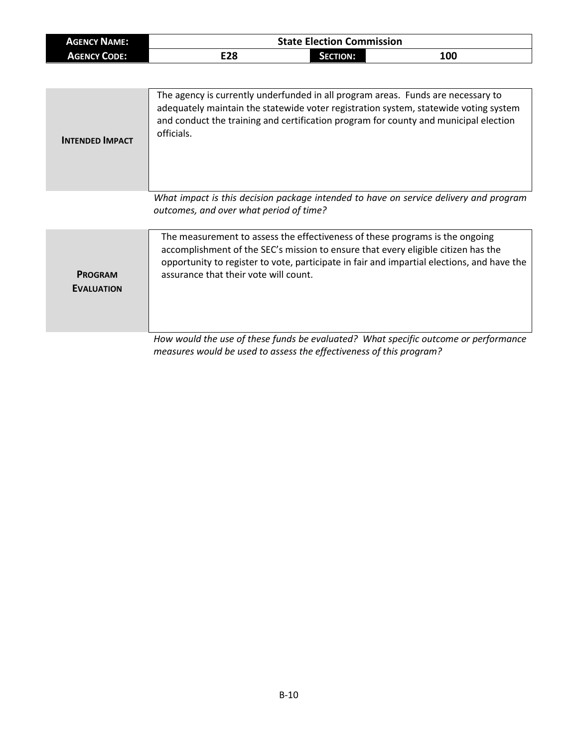| <b>AGENCY NAME:</b> | <b>State Election Commission</b> |          |     |
|---------------------|----------------------------------|----------|-----|
| <b>AGENCY CODE:</b> | E28                              | Section: | 100 |

| <b>INTENDED IMPACT</b> | The agency is currently underfunded in all program areas. Funds are necessary to<br>adequately maintain the statewide voter registration system, statewide voting system<br>and conduct the training and certification program for county and municipal election<br>officials. |
|------------------------|--------------------------------------------------------------------------------------------------------------------------------------------------------------------------------------------------------------------------------------------------------------------------------|
|                        | What impact is this decision package intended to have on service delivery and program                                                                                                                                                                                          |

*What impact is this decision package intended to have on service delivery and program outcomes, and over what period of time?*

|                                     | The measurement to assess the effectiveness of these programs is the ongoing<br>accomplishment of the SEC's mission to ensure that every eligible citizen has the<br>opportunity to register to vote, participate in fair and impartial elections, and have the |
|-------------------------------------|-----------------------------------------------------------------------------------------------------------------------------------------------------------------------------------------------------------------------------------------------------------------|
| <b>PROGRAM</b><br><b>EVALUATION</b> | assurance that their vote will count.                                                                                                                                                                                                                           |
|                                     | ttann neachdalaich a choireadh bha dheachainn an chomhad 10,147 bha an cailteach agus an comhanna ann an                                                                                                                                                        |

*How would the use of these funds be evaluated? What specific outcome or performance measures would be used to assess the effectiveness of this program?*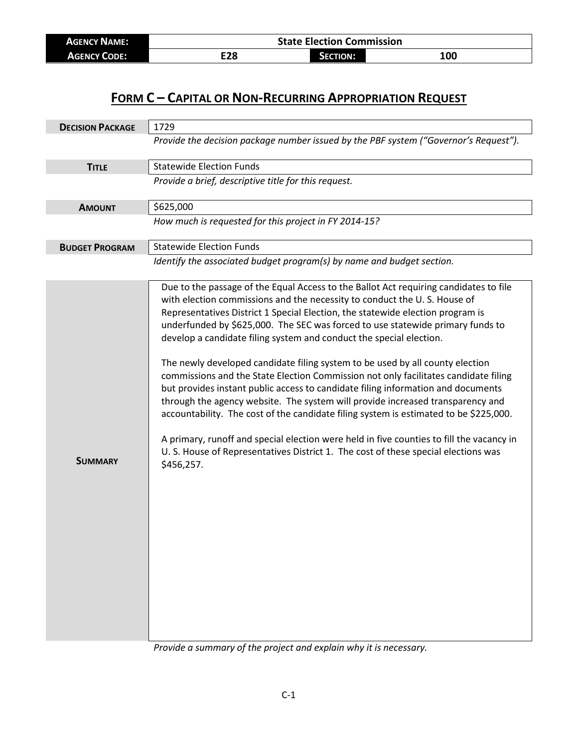| <b>AGENCY NAME:</b> | <b>State Election Commission</b> |                 |     |
|---------------------|----------------------------------|-----------------|-----|
| <b>AGENCY CODE:</b> | E28                              | <b>SECTION:</b> | 100 |

## **FORM C – CAPITAL OR NON-RECURRING APPROPRIATION REQUEST**

| <b>DECISION PACKAGE</b> | 1729                                                                                                                                                                                                                                                                                                                                                                                                                                                                                                                                                                                                                                                                                                                                                                                                                                                                                                                                                                                                                                                |  |
|-------------------------|-----------------------------------------------------------------------------------------------------------------------------------------------------------------------------------------------------------------------------------------------------------------------------------------------------------------------------------------------------------------------------------------------------------------------------------------------------------------------------------------------------------------------------------------------------------------------------------------------------------------------------------------------------------------------------------------------------------------------------------------------------------------------------------------------------------------------------------------------------------------------------------------------------------------------------------------------------------------------------------------------------------------------------------------------------|--|
|                         | Provide the decision package number issued by the PBF system ("Governor's Request").                                                                                                                                                                                                                                                                                                                                                                                                                                                                                                                                                                                                                                                                                                                                                                                                                                                                                                                                                                |  |
| <b>TITLE</b>            | <b>Statewide Election Funds</b>                                                                                                                                                                                                                                                                                                                                                                                                                                                                                                                                                                                                                                                                                                                                                                                                                                                                                                                                                                                                                     |  |
|                         | Provide a brief, descriptive title for this request.                                                                                                                                                                                                                                                                                                                                                                                                                                                                                                                                                                                                                                                                                                                                                                                                                                                                                                                                                                                                |  |
| <b>AMOUNT</b>           | \$625,000                                                                                                                                                                                                                                                                                                                                                                                                                                                                                                                                                                                                                                                                                                                                                                                                                                                                                                                                                                                                                                           |  |
|                         | How much is requested for this project in FY 2014-15?                                                                                                                                                                                                                                                                                                                                                                                                                                                                                                                                                                                                                                                                                                                                                                                                                                                                                                                                                                                               |  |
| <b>BUDGET PROGRAM</b>   | <b>Statewide Election Funds</b>                                                                                                                                                                                                                                                                                                                                                                                                                                                                                                                                                                                                                                                                                                                                                                                                                                                                                                                                                                                                                     |  |
|                         | Identify the associated budget program(s) by name and budget section.                                                                                                                                                                                                                                                                                                                                                                                                                                                                                                                                                                                                                                                                                                                                                                                                                                                                                                                                                                               |  |
| <b>SUMMARY</b>          | Due to the passage of the Equal Access to the Ballot Act requiring candidates to file<br>with election commissions and the necessity to conduct the U.S. House of<br>Representatives District 1 Special Election, the statewide election program is<br>underfunded by \$625,000. The SEC was forced to use statewide primary funds to<br>develop a candidate filing system and conduct the special election.<br>The newly developed candidate filing system to be used by all county election<br>commissions and the State Election Commission not only facilitates candidate filing<br>but provides instant public access to candidate filing information and documents<br>through the agency website. The system will provide increased transparency and<br>accountability. The cost of the candidate filing system is estimated to be \$225,000.<br>A primary, runoff and special election were held in five counties to fill the vacancy in<br>U. S. House of Representatives District 1. The cost of these special elections was<br>\$456,257. |  |

*Provide a summary of the project and explain why it is necessary.*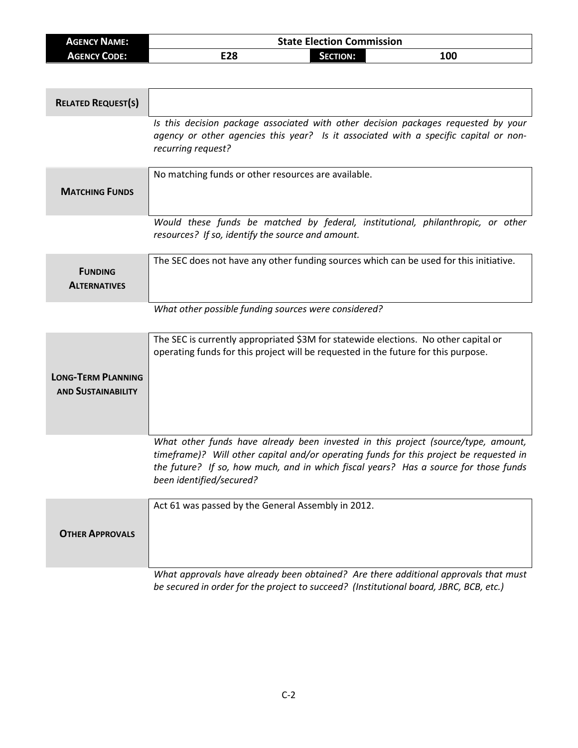| <b>AGENCY NAME:</b> | <b>State Election Commission</b> |                 |     |
|---------------------|----------------------------------|-----------------|-----|
| <b>AGENCY CODE:</b> | E28                              | <b>SECTION:</b> | 100 |

| <b>RELATED REQUEST(S)</b>                              |                                                                                                                                                                                                                                                                                                 |
|--------------------------------------------------------|-------------------------------------------------------------------------------------------------------------------------------------------------------------------------------------------------------------------------------------------------------------------------------------------------|
|                                                        | Is this decision package associated with other decision packages requested by your<br>agency or other agencies this year? Is it associated with a specific capital or non-<br>recurring request?                                                                                                |
| <b>MATCHING FUNDS</b>                                  | No matching funds or other resources are available.                                                                                                                                                                                                                                             |
|                                                        | Would these funds be matched by federal, institutional, philanthropic, or other<br>resources? If so, identify the source and amount.                                                                                                                                                            |
| <b>FUNDING</b><br><b>ALTERNATIVES</b>                  | The SEC does not have any other funding sources which can be used for this initiative.                                                                                                                                                                                                          |
|                                                        | What other possible funding sources were considered?                                                                                                                                                                                                                                            |
| <b>LONG-TERM PLANNING</b><br><b>AND SUSTAINABILITY</b> | The SEC is currently appropriated \$3M for statewide elections. No other capital or<br>operating funds for this project will be requested in the future for this purpose.                                                                                                                       |
|                                                        | What other funds have already been invested in this project (source/type, amount,<br>timeframe)? Will other capital and/or operating funds for this project be requested in<br>the future? If so, how much, and in which fiscal years? Has a source for those funds<br>been identified/secured? |
| <b>OTHER APPROVALS</b>                                 | Act 61 was passed by the General Assembly in 2012.                                                                                                                                                                                                                                              |
|                                                        | What approvals have already been obtained? Are there additional approvals that must<br>be secured in order for the project to succeed? (Institutional board, JBRC, BCB, etc.)                                                                                                                   |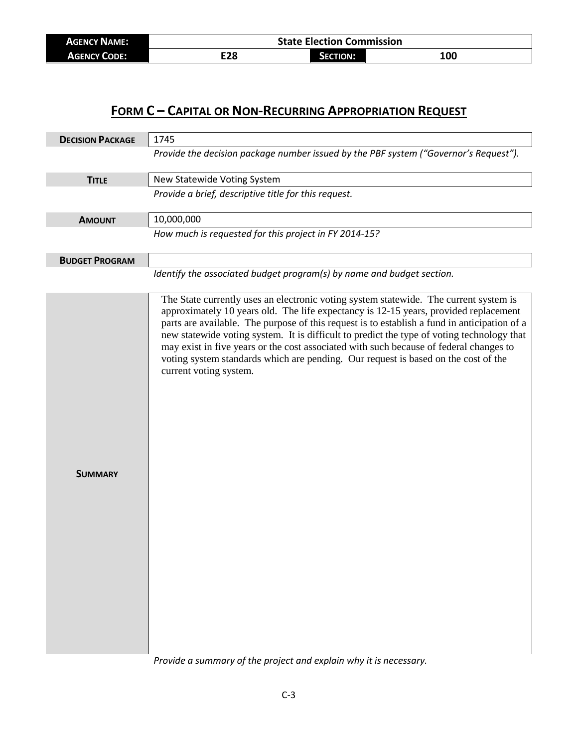| <b>AGENCY NAME:</b> | <b>State Election Commission</b> |               |            |
|---------------------|----------------------------------|---------------|------------|
| <b>AGENCY CODE:</b> | rna                              | <b>CTION:</b> | <b>100</b> |

## **FORM C – CAPITAL OR NON-RECURRING APPROPRIATION REQUEST**

| <b>DECISION PACKAGE</b> | 1745                                                                                                                                                                                                                                                                                                                                                                                                                                                                                         |
|-------------------------|----------------------------------------------------------------------------------------------------------------------------------------------------------------------------------------------------------------------------------------------------------------------------------------------------------------------------------------------------------------------------------------------------------------------------------------------------------------------------------------------|
|                         | Provide the decision package number issued by the PBF system ("Governor's Request").                                                                                                                                                                                                                                                                                                                                                                                                         |
| <b>TITLE</b>            | New Statewide Voting System                                                                                                                                                                                                                                                                                                                                                                                                                                                                  |
|                         | Provide a brief, descriptive title for this request.                                                                                                                                                                                                                                                                                                                                                                                                                                         |
| <b>AMOUNT</b>           | 10,000,000                                                                                                                                                                                                                                                                                                                                                                                                                                                                                   |
|                         | How much is requested for this project in FY 2014-15?                                                                                                                                                                                                                                                                                                                                                                                                                                        |
| <b>BUDGET PROGRAM</b>   |                                                                                                                                                                                                                                                                                                                                                                                                                                                                                              |
|                         | Identify the associated budget program(s) by name and budget section.<br>The State currently uses an electronic voting system statewide. The current system is                                                                                                                                                                                                                                                                                                                               |
|                         | approximately 10 years old. The life expectancy is 12-15 years, provided replacement<br>parts are available. The purpose of this request is to establish a fund in anticipation of a<br>new statewide voting system. It is difficult to predict the type of voting technology that<br>may exist in five years or the cost associated with such because of federal changes to<br>voting system standards which are pending. Our request is based on the cost of the<br>current voting system. |
| <b>SUMMARY</b>          |                                                                                                                                                                                                                                                                                                                                                                                                                                                                                              |
|                         |                                                                                                                                                                                                                                                                                                                                                                                                                                                                                              |

*Provide a summary of the project and explain why it is necessary.*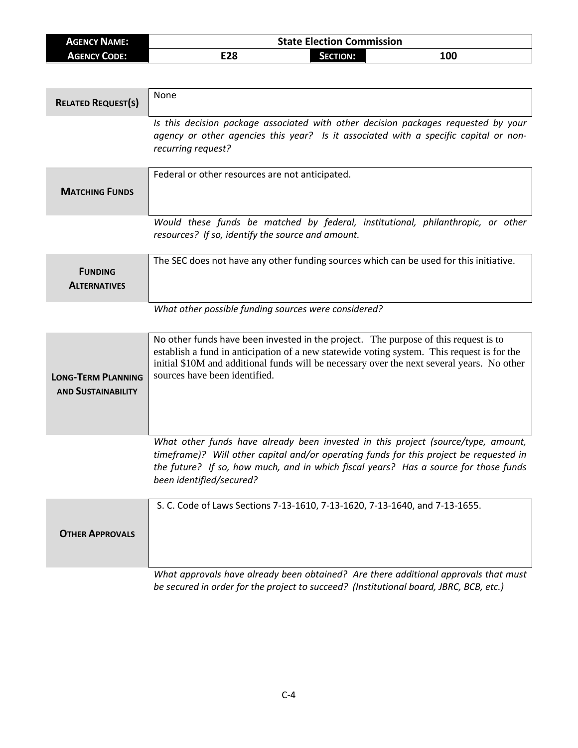| <b>AGENCY NAME:</b> | <b>State Election Commission</b> |          |     |
|---------------------|----------------------------------|----------|-----|
| <b>AGENCY CODE:</b> | E28                              | SECTION: | 100 |

| <b>RELATED REQUEST(S)</b>                              | None                                                                                                                                                                                                                                                                                                             |
|--------------------------------------------------------|------------------------------------------------------------------------------------------------------------------------------------------------------------------------------------------------------------------------------------------------------------------------------------------------------------------|
|                                                        | Is this decision package associated with other decision packages requested by your<br>agency or other agencies this year? Is it associated with a specific capital or non-<br>recurring request?                                                                                                                 |
| <b>MATCHING FUNDS</b>                                  | Federal or other resources are not anticipated.                                                                                                                                                                                                                                                                  |
|                                                        | Would these funds be matched by federal, institutional, philanthropic, or other<br>resources? If so, identify the source and amount.                                                                                                                                                                             |
| <b>FUNDING</b><br><b>ALTERNATIVES</b>                  | The SEC does not have any other funding sources which can be used for this initiative.                                                                                                                                                                                                                           |
|                                                        | What other possible funding sources were considered?                                                                                                                                                                                                                                                             |
| <b>LONG-TERM PLANNING</b><br><b>AND SUSTAINABILITY</b> | No other funds have been invested in the project. The purpose of this request is to<br>establish a fund in anticipation of a new statewide voting system. This request is for the<br>initial \$10M and additional funds will be necessary over the next several years. No other<br>sources have been identified. |
|                                                        | What other funds have already been invested in this project (source/type, amount,<br>timeframe)? Will other capital and/or operating funds for this project be requested in<br>the future? If so, how much, and in which fiscal years? Has a source for those funds<br>been identified/secured?                  |
| <b>OTHER APPROVALS</b>                                 | S. C. Code of Laws Sections 7-13-1610, 7-13-1620, 7-13-1640, and 7-13-1655.                                                                                                                                                                                                                                      |
|                                                        | What approvals have already been obtained? Are there additional approvals that must<br>be secured in order for the project to succeed? (Institutional board, JBRC, BCB, etc.)                                                                                                                                    |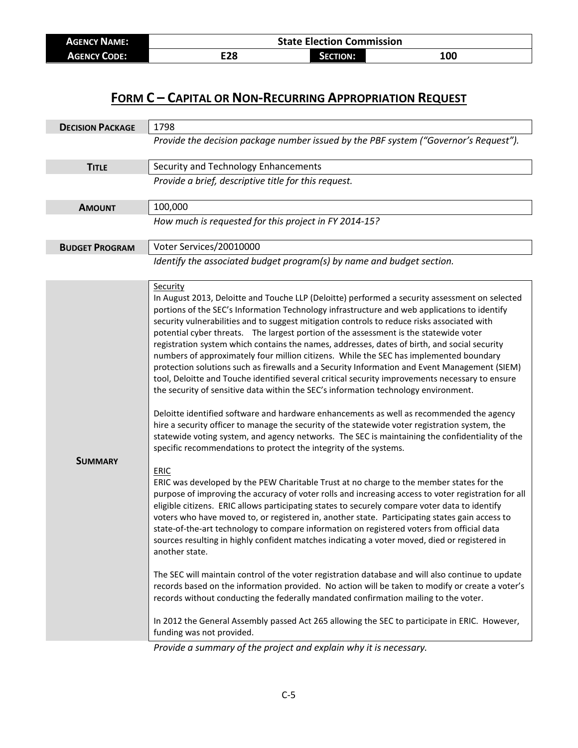| <b>AGENCY NAME:</b> | <b>State Election Commission</b> |                 |     |
|---------------------|----------------------------------|-----------------|-----|
| <b>AGENCY CODE:</b> | E28                              | <b>SECTION:</b> | 100 |

## **FORM C – CAPITAL OR NON-RECURRING APPROPRIATION REQUEST**

| <b>DECISION PACKAGE</b> | 1798                                                                                                                                                                                                                                                                                                                                                                                                                                                                                                                                                                                                                                                                                                                                                                                                                                                                                                                                                                                                                                                                                                                                                                                                                                                                                                                                                                                                                                                                                                                                                                                                                                                                                                                                                                                                                                                                                                                                                                                                                                                                                                                                                                                                                                                                                                                                        |  |
|-------------------------|---------------------------------------------------------------------------------------------------------------------------------------------------------------------------------------------------------------------------------------------------------------------------------------------------------------------------------------------------------------------------------------------------------------------------------------------------------------------------------------------------------------------------------------------------------------------------------------------------------------------------------------------------------------------------------------------------------------------------------------------------------------------------------------------------------------------------------------------------------------------------------------------------------------------------------------------------------------------------------------------------------------------------------------------------------------------------------------------------------------------------------------------------------------------------------------------------------------------------------------------------------------------------------------------------------------------------------------------------------------------------------------------------------------------------------------------------------------------------------------------------------------------------------------------------------------------------------------------------------------------------------------------------------------------------------------------------------------------------------------------------------------------------------------------------------------------------------------------------------------------------------------------------------------------------------------------------------------------------------------------------------------------------------------------------------------------------------------------------------------------------------------------------------------------------------------------------------------------------------------------------------------------------------------------------------------------------------------------|--|
|                         | Provide the decision package number issued by the PBF system ("Governor's Request").                                                                                                                                                                                                                                                                                                                                                                                                                                                                                                                                                                                                                                                                                                                                                                                                                                                                                                                                                                                                                                                                                                                                                                                                                                                                                                                                                                                                                                                                                                                                                                                                                                                                                                                                                                                                                                                                                                                                                                                                                                                                                                                                                                                                                                                        |  |
| <b>TITLE</b>            | Security and Technology Enhancements                                                                                                                                                                                                                                                                                                                                                                                                                                                                                                                                                                                                                                                                                                                                                                                                                                                                                                                                                                                                                                                                                                                                                                                                                                                                                                                                                                                                                                                                                                                                                                                                                                                                                                                                                                                                                                                                                                                                                                                                                                                                                                                                                                                                                                                                                                        |  |
|                         | Provide a brief, descriptive title for this request.                                                                                                                                                                                                                                                                                                                                                                                                                                                                                                                                                                                                                                                                                                                                                                                                                                                                                                                                                                                                                                                                                                                                                                                                                                                                                                                                                                                                                                                                                                                                                                                                                                                                                                                                                                                                                                                                                                                                                                                                                                                                                                                                                                                                                                                                                        |  |
| <b>AMOUNT</b>           | 100,000                                                                                                                                                                                                                                                                                                                                                                                                                                                                                                                                                                                                                                                                                                                                                                                                                                                                                                                                                                                                                                                                                                                                                                                                                                                                                                                                                                                                                                                                                                                                                                                                                                                                                                                                                                                                                                                                                                                                                                                                                                                                                                                                                                                                                                                                                                                                     |  |
|                         | How much is requested for this project in FY 2014-15?                                                                                                                                                                                                                                                                                                                                                                                                                                                                                                                                                                                                                                                                                                                                                                                                                                                                                                                                                                                                                                                                                                                                                                                                                                                                                                                                                                                                                                                                                                                                                                                                                                                                                                                                                                                                                                                                                                                                                                                                                                                                                                                                                                                                                                                                                       |  |
| <b>BUDGET PROGRAM</b>   | Voter Services/20010000                                                                                                                                                                                                                                                                                                                                                                                                                                                                                                                                                                                                                                                                                                                                                                                                                                                                                                                                                                                                                                                                                                                                                                                                                                                                                                                                                                                                                                                                                                                                                                                                                                                                                                                                                                                                                                                                                                                                                                                                                                                                                                                                                                                                                                                                                                                     |  |
|                         | Identify the associated budget program(s) by name and budget section.                                                                                                                                                                                                                                                                                                                                                                                                                                                                                                                                                                                                                                                                                                                                                                                                                                                                                                                                                                                                                                                                                                                                                                                                                                                                                                                                                                                                                                                                                                                                                                                                                                                                                                                                                                                                                                                                                                                                                                                                                                                                                                                                                                                                                                                                       |  |
| <b>SUMMARY</b>          | <b>Security</b><br>In August 2013, Deloitte and Touche LLP (Deloitte) performed a security assessment on selected<br>portions of the SEC's Information Technology infrastructure and web applications to identify<br>security vulnerabilities and to suggest mitigation controls to reduce risks associated with<br>potential cyber threats. The largest portion of the assessment is the statewide voter<br>registration system which contains the names, addresses, dates of birth, and social security<br>numbers of approximately four million citizens. While the SEC has implemented boundary<br>protection solutions such as firewalls and a Security Information and Event Management (SIEM)<br>tool, Deloitte and Touche identified several critical security improvements necessary to ensure<br>the security of sensitive data within the SEC's information technology environment.<br>Deloitte identified software and hardware enhancements as well as recommended the agency<br>hire a security officer to manage the security of the statewide voter registration system, the<br>statewide voting system, and agency networks. The SEC is maintaining the confidentiality of the<br>specific recommendations to protect the integrity of the systems.<br><b>ERIC</b><br>ERIC was developed by the PEW Charitable Trust at no charge to the member states for the<br>purpose of improving the accuracy of voter rolls and increasing access to voter registration for all<br>eligible citizens. ERIC allows participating states to securely compare voter data to identify<br>voters who have moved to, or registered in, another state. Participating states gain access to<br>state-of-the-art technology to compare information on registered voters from official data<br>sources resulting in highly confident matches indicating a voter moved, died or registered in<br>another state.<br>The SEC will maintain control of the voter registration database and will also continue to update<br>records based on the information provided. No action will be taken to modify or create a voter's<br>records without conducting the federally mandated confirmation mailing to the voter.<br>In 2012 the General Assembly passed Act 265 allowing the SEC to participate in ERIC. However,<br>funding was not provided. |  |

*Provide a summary of the project and explain why it is necessary.*